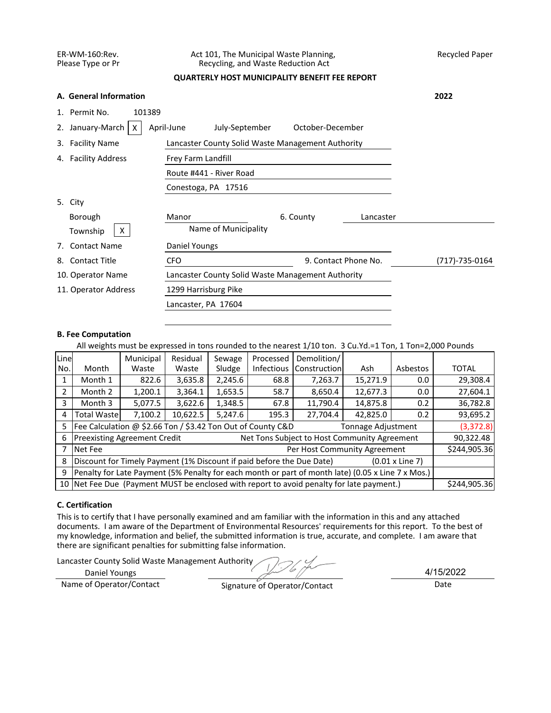## ER-WM-160:Rev. Act 101, The Municipal Waste Planning, Recycled Paper<br>Please Type or Pr Recycling, and Waste Reduction Act Recycling, and Waste Reduction Act

# **QUARTERLY HOST MUNICIPALITY BENEFIT FEE REPORT**

|    | A. General Information  |                                                   |                  |           | 2022 |
|----|-------------------------|---------------------------------------------------|------------------|-----------|------|
|    | 1. Permit No.<br>101389 |                                                   |                  |           |      |
| 2. | January-March<br>X      | April-June<br>July-September                      | October-December |           |      |
| 3. | <b>Facility Name</b>    | Lancaster County Solid Waste Management Authority |                  |           |      |
|    | 4. Facility Address     |                                                   |                  |           |      |
|    |                         |                                                   |                  |           |      |
|    |                         |                                                   |                  |           |      |
|    | 5. City                 |                                                   |                  |           |      |
|    | Borough                 | Manor                                             | 6. County        | Lancaster |      |
|    | X<br>Township           | Name of Municipality                              |                  |           |      |
| 7. | <b>Contact Name</b>     | Daniel Youngs                                     |                  |           |      |
| 8. | <b>Contact Title</b>    | 9. Contact Phone No.                              | (717)-735-0164   |           |      |
|    | 10. Operator Name       | Lancaster County Solid Waste Management Authority |                  |           |      |
|    | 11. Operator Address    | 1299 Harrisburg Pike                              |                  |           |      |
|    |                         |                                                   |                  |           |      |

## **B. Fee Computation**

All weights must be expressed in tons rounded to the nearest 1/10 ton. 3 Cu.Yd.=1 Ton, 1 Ton=2,000 Pounds

| Line |                                                                                                   | Municipal                                                         | Residual | Sewage  | Processed | Demolition/               |          |          |              |  |  |
|------|---------------------------------------------------------------------------------------------------|-------------------------------------------------------------------|----------|---------|-----------|---------------------------|----------|----------|--------------|--|--|
| No.  | Month                                                                                             | Waste                                                             | Waste    | Sludge  |           | Infectious   Construction | Ash      | Asbestos | <b>TOTAL</b> |  |  |
| 1    | Month 1                                                                                           | 2,245.6<br>15,271.9<br>3,635.8<br>822.6<br>7,263.7<br>68.8<br>0.0 |          |         |           |                           |          |          |              |  |  |
|      | 12,677.3<br>3,364.1<br>1,653.5<br>Month 2<br>1,200.1<br>8,650.4<br>58.7<br>0.0                    |                                                                   |          |         |           |                           |          |          | 27,604.1     |  |  |
| 3    | 5,077.5<br>3,622.6<br>1,348.5<br>11,790.4<br>14,875.8<br>Month 3<br>67.8<br>0.2                   |                                                                   |          |         |           |                           |          |          |              |  |  |
| 4    | <b>Total Wastel</b>                                                                               | 7,100.2                                                           | 10,622.5 | 5,247.6 | 195.3     | 27,704.4                  | 42,825.0 | 0.2      | 93,695.2     |  |  |
| 5.   | Fee Calculation @ \$2.66 Ton / \$3.42 Ton Out of County C&D<br>Tonnage Adjustment                 |                                                                   |          |         |           |                           |          |          |              |  |  |
| 6    | <b>Preexisting Agreement Credit</b><br>Net Tons Subject to Host Community Agreement               |                                                                   |          |         |           |                           |          |          |              |  |  |
|      | Per Host Community Agreement<br>Net Fee                                                           |                                                                   |          |         |           |                           |          |          |              |  |  |
| 8    | Discount for Timely Payment (1% Discount if paid before the Due Date)<br>$(0.01 \times$ Line 7)   |                                                                   |          |         |           |                           |          |          |              |  |  |
| 9    | Penalty for Late Payment (5% Penalty for each month or part of month late) (0.05 x Line 7 x Mos.) |                                                                   |          |         |           |                           |          |          |              |  |  |
|      | 10 Net Fee Due (Payment MUST be enclosed with report to avoid penalty for late payment.)          |                                                                   |          |         |           |                           |          |          |              |  |  |

# **C. Certification**

This is to certify that I have personally examined and am familiar with the information in this and any attached documents. I am aware of the Department of Environmental Resources' requirements for this report. To the best of my knowledge, information and belief, the submitted information is true, accurate, and complete. I am aware that there are significant penalties for submitting false information.

Lancaster County Solid Waste Management Authority

Daniel Youngs

Name of Operator/Contact Signature of Operator/Contact Date

4/15/2022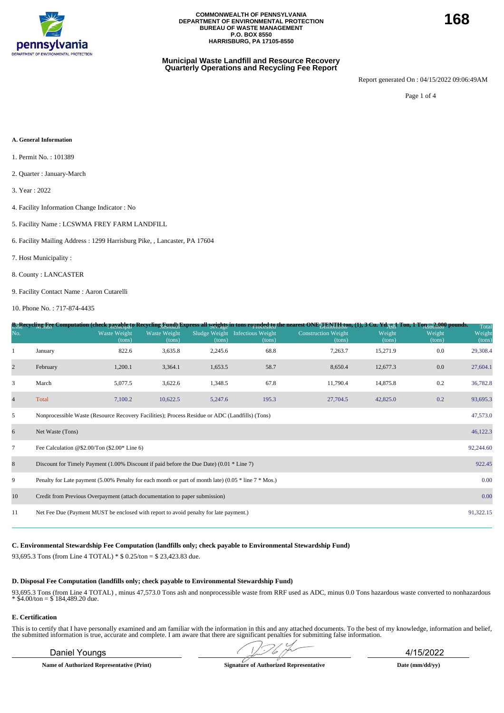

### **Municipal Waste Landfill and Resource Recovery Quarterly Operations and Recycling Fee Report**

Report generated On : 04/15/2022 09:06:49AM

Page 1 of 4

#### **A. General Information**

- 1. Permit No. : 101389
- 2. Quarter : January-March
- 3. Year : 2022
- 4. Facility Information Change Indicator : No
- 5. Facility Name : LCSWMA FREY FARM LANDFILL
- 6. Facility Mailing Address : 1299 Harrisburg Pike, , Lancaster, PA 17604
- 7. Host Municipality :
- 8. County : LANCASTER
- 9. Facility Contact Name : Aaron Cutarelli

10. Phone No. : 717-874-4435

|                |                                                                                                                  |                        |                               |         |                                           | B <sub>1</sub> Recycling Fee Computation (check payable to Recycling Eund) Express all weights in tons rounded to the nearest ONE TENTH, fon, (1), 3 Cu. Yd <sub>AU</sub> I Ton, 1 Ton 52, 000 pounds. |                  |                  | Total            |  |  |
|----------------|------------------------------------------------------------------------------------------------------------------|------------------------|-------------------------------|---------|-------------------------------------------|--------------------------------------------------------------------------------------------------------------------------------------------------------------------------------------------------------|------------------|------------------|------------------|--|--|
| No.            |                                                                                                                  | Waste Weight<br>(tons) | <b>Waste Weight</b><br>(tons) | (tons)  | Sludge Weight Infectious Weight<br>(tons) | <b>Construction Weight</b><br>(tons)                                                                                                                                                                   | Weight<br>(tons) | Weight<br>(tons) | Weight<br>(tons) |  |  |
|                | January                                                                                                          | 822.6                  | 3,635.8                       | 2,245.6 | 68.8                                      | 7,263.7                                                                                                                                                                                                | 15,271.9         | 0.0              | 29,308.4         |  |  |
| $\overline{c}$ | February                                                                                                         | 1,200.1                | 3,364.1                       | 1,653.5 | 58.7                                      | 8,650.4                                                                                                                                                                                                | 12,677.3         | 0.0              | 27,604.1         |  |  |
| 3              | March                                                                                                            | 5,077.5                | 3,622.6                       | 1,348.5 | 67.8                                      | 11,790.4                                                                                                                                                                                               | 14,875.8         | 0.2              | 36,782.8         |  |  |
| $\overline{4}$ | Total                                                                                                            | 7,100.2                | 10,622.5                      | 5,247.6 | 195.3                                     | 27,704.5                                                                                                                                                                                               | 42,825.0         | 0.2              | 93,695.3         |  |  |
| 5              | Nonprocessible Waste (Resource Recovery Facilities); Process Residue or ADC (Landfills) (Tons)<br>47,573.0       |                        |                               |         |                                           |                                                                                                                                                                                                        |                  |                  |                  |  |  |
| 6              | 46,122.3<br>Net Waste (Tons)                                                                                     |                        |                               |         |                                           |                                                                                                                                                                                                        |                  |                  |                  |  |  |
| $\tau$         | 92,244.60<br>Fee Calculation @\$2.00/Ton $(\$2.00*$ Line 6)                                                      |                        |                               |         |                                           |                                                                                                                                                                                                        |                  |                  |                  |  |  |
| 8              | Discount for Timely Payment (1.00% Discount if paid before the Due Date) (0.01 $*$ Line 7)                       |                        |                               |         |                                           |                                                                                                                                                                                                        |                  |                  | 922.45           |  |  |
| 9              | 0.00<br>Penalty for Late payment (5.00% Penalty for each month or part of month late) (0.05 $*$ line 7 $*$ Mos.) |                        |                               |         |                                           |                                                                                                                                                                                                        |                  |                  |                  |  |  |
| 10             | 0.00<br>Credit from Previous Overpayment (attach documentation to paper submission)                              |                        |                               |         |                                           |                                                                                                                                                                                                        |                  |                  |                  |  |  |
| 11             | Net Fee Due (Payment MUST be enclosed with report to avoid penalty for late payment.)                            |                        |                               |         |                                           |                                                                                                                                                                                                        |                  |                  | 91,322.15        |  |  |

## **C. Environmental Stewardship Fee Computation (landfills only; check payable to Environmental Stewardship Fund)**

93,695.3 Tons (from Line 4 TOTAL) \* \$ 0.25/ton = \$ 23,423.83 due.

#### **D. Disposal Fee Computation (landfills only; check payable to Environmental Stewardship Fund)**

93,695.3 Tons (from Line 4 TOTAL) , minus 47,573.0 Tons ash and nonprocessible waste from RRF used as ADC, minus 0.0 Tons hazardous waste converted to nonhazardous  $*$  \$4.00/ton = \$ 184,489.20 due.

#### **E. Certification**

This is to certify that I have personally examined and am familiar with the information in this and any attached documents. To the best of my knowledge, information and belief, the submitted information is true, accurate and complete. I am aware that there are significant penalties for submitting false information.

**Name of Authorized Representative (Print) Signature of Authorized Representative Date (mm/dd/yy)**

Daniel Youngs 4/15/2022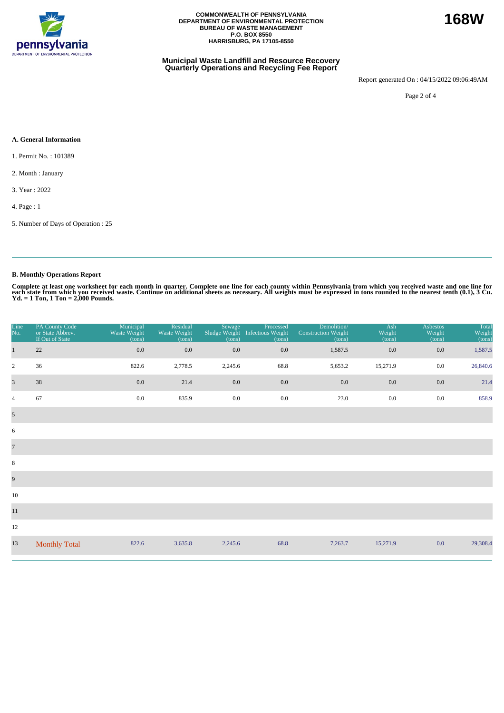

### **Municipal Waste Landfill and Resource Recovery Quarterly Operations and Recycling Fee Report**

Report generated On : 04/15/2022 09:06:49AM

**168W**

Page 2 of 4

### **A. General Information**

1. Permit No. : 101389

2. Month : January

3. Year : 2022

4. Page : 1

5. Number of Days of Operation : 25

# **B. Monthly Operations Report**

Complete at least one worksheet for each month in quarter. Complete one line for each county within Pennsylvania from which you received waste and one line for<br>each state from which you received waste. Continue on addition

| Line<br>No.             | PA County Code<br>or State Abbrev.<br>If Out of State | Municipal<br>Waste Weight<br>(tons) | Residual<br>Waste Weight<br>(tons) | Sewage<br>Sludge Weight<br>(tons) | Processed<br>Infectious Weight<br>(tons) | Demolition/<br><b>Construction Weight</b><br>(tons) | Ash<br>Weight<br>(tons) | Asbestos<br>Weight<br>(tons) | Total<br>Weight<br>(tons) |
|-------------------------|-------------------------------------------------------|-------------------------------------|------------------------------------|-----------------------------------|------------------------------------------|-----------------------------------------------------|-------------------------|------------------------------|---------------------------|
| $\mathbf{1}$            | 22                                                    | $0.0\,$                             | $0.0\,$                            | 0.0                               | 0.0                                      | 1,587.5                                             | 0.0                     | 0.0                          | 1,587.5                   |
| $\sqrt{2}$              | 36                                                    | 822.6                               | 2,778.5                            | 2,245.6                           | 68.8                                     | 5,653.2                                             | 15,271.9                | 0.0                          | 26,840.6                  |
| $\overline{\mathbf{3}}$ | 38                                                    | 0.0                                 | 21.4                               | 0.0                               | 0.0                                      | 0.0                                                 | 0.0                     | $0.0\,$                      | 21.4                      |
| $\overline{4}$          | 67                                                    | 0.0                                 | 835.9                              | $0.0\,$                           | $0.0\,$                                  | 23.0                                                | 0.0                     | 0.0                          | 858.9                     |
| $\overline{5}$          |                                                       |                                     |                                    |                                   |                                          |                                                     |                         |                              |                           |
| 6                       |                                                       |                                     |                                    |                                   |                                          |                                                     |                         |                              |                           |
| $\overline{7}$          |                                                       |                                     |                                    |                                   |                                          |                                                     |                         |                              |                           |
| $\,8\,$                 |                                                       |                                     |                                    |                                   |                                          |                                                     |                         |                              |                           |
| $\overline{9}$          |                                                       |                                     |                                    |                                   |                                          |                                                     |                         |                              |                           |
| 10                      |                                                       |                                     |                                    |                                   |                                          |                                                     |                         |                              |                           |
| $11\,$                  |                                                       |                                     |                                    |                                   |                                          |                                                     |                         |                              |                           |
| 12                      |                                                       |                                     |                                    |                                   |                                          |                                                     |                         |                              |                           |
| 13                      | <b>Monthly Total</b>                                  | 822.6                               | 3,635.8                            | 2,245.6                           | 68.8                                     | 7,263.7                                             | 15,271.9                | 0.0                          | 29,308.4                  |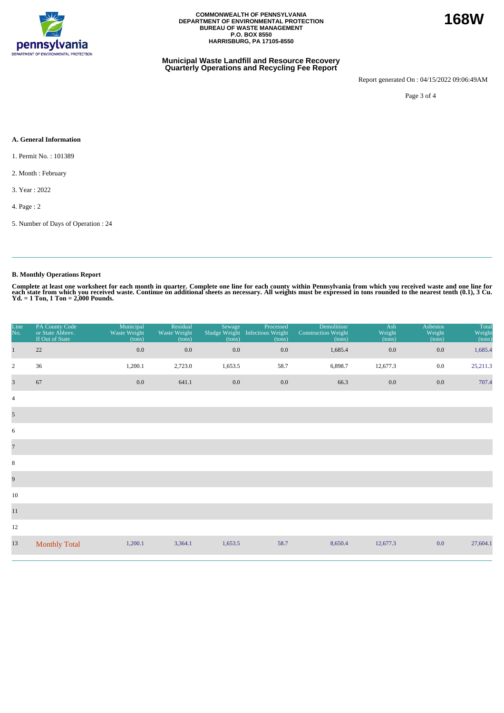

### **Municipal Waste Landfill and Resource Recovery Quarterly Operations and Recycling Fee Report**

Report generated On : 04/15/2022 09:06:49AM

Page 3 of 4

### **A. General Information**

- 1. Permit No. : 101389
- 2. Month : February
- 3. Year : 2022
- 4. Page : 2
- 5. Number of Days of Operation : 24

# **B. Monthly Operations Report**

Complete at least one worksheet for each month in quarter. Complete one line for each county within Pennsylvania from which you received waste and one line for<br>each state from which you received waste. Continue on addition

| Line<br>No.    | PA County Code<br>or State Abbrev.<br>If Out of State | Municipal<br>Waste Weight<br>(tons) | Residual<br>Waste Weight<br>(tons) | Sewage<br>(tons) | Processed<br>Sludge Weight Infectious Weight<br>(tons) | Demolition/<br><b>Construction Weight</b><br>(tons) | Ash<br>Weight<br>(tons) | <b>Asbestos</b><br>Weight<br>(tons) | Total<br>Weight<br>(tons) |
|----------------|-------------------------------------------------------|-------------------------------------|------------------------------------|------------------|--------------------------------------------------------|-----------------------------------------------------|-------------------------|-------------------------------------|---------------------------|
| $\mathbf{1}$   | 22                                                    | 0.0                                 | $0.0\,$                            | $0.0\,$          | $0.0\,$                                                | 1,685.4                                             | 0.0                     | 0.0                                 | 1,685.4                   |
| $\overline{2}$ | 36                                                    | 1,200.1                             | 2,723.0                            | 1,653.5          | 58.7                                                   | 6,898.7                                             | 12,677.3                | $0.0\,$                             | 25,211.3                  |
| $\overline{3}$ | 67                                                    | $0.0\,$                             | 641.1                              | $0.0\,$          | $0.0\,$                                                | 66.3                                                | 0.0                     | $0.0\,$                             | 707.4                     |
| $\overline{4}$ |                                                       |                                     |                                    |                  |                                                        |                                                     |                         |                                     |                           |
| $\mathfrak{S}$ |                                                       |                                     |                                    |                  |                                                        |                                                     |                         |                                     |                           |
| 6              |                                                       |                                     |                                    |                  |                                                        |                                                     |                         |                                     |                           |
| $\overline{7}$ |                                                       |                                     |                                    |                  |                                                        |                                                     |                         |                                     |                           |
| 8              |                                                       |                                     |                                    |                  |                                                        |                                                     |                         |                                     |                           |
| $\overline{9}$ |                                                       |                                     |                                    |                  |                                                        |                                                     |                         |                                     |                           |
| 10             |                                                       |                                     |                                    |                  |                                                        |                                                     |                         |                                     |                           |
| 11             |                                                       |                                     |                                    |                  |                                                        |                                                     |                         |                                     |                           |
| 12             |                                                       |                                     |                                    |                  |                                                        |                                                     |                         |                                     |                           |
| 13             | <b>Monthly Total</b>                                  | 1,200.1                             | 3,364.1                            | 1,653.5          | 58.7                                                   | 8,650.4                                             | 12,677.3                | 0.0                                 | 27,604.1                  |